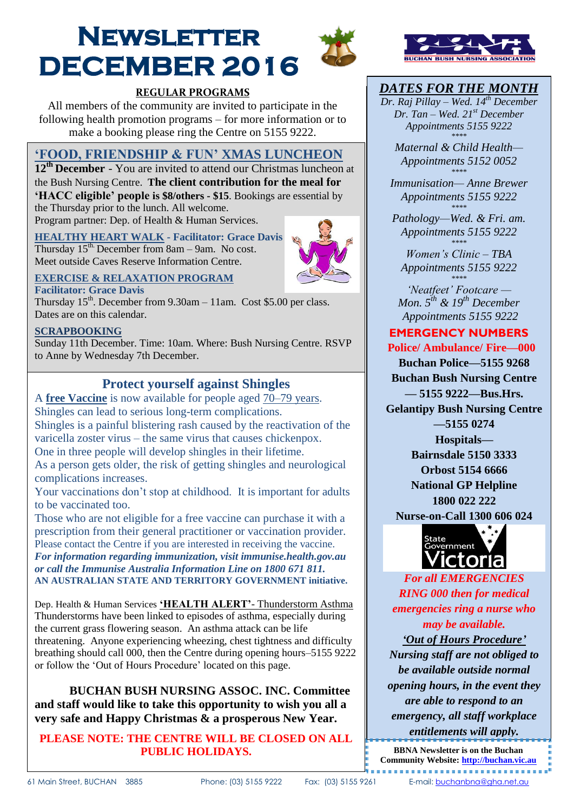# **Newsletter DECEMBER 2016**





# *DATES FOR THE MONTH*

*Dr. Raj Pillay – Wed. 14th December Dr. Tan – Wed. 21st December Appointments 5155 9222 \*\*\*\**

*Maternal & Child Health— Appointments 5152 0052 \*\*\*\** 

*Immunisation— Anne Brewer Appointments 5155 9222 \*\*\*\** 

*Pathology—Wed. & Fri. am. Appointments 5155 9222 \*\*\*\** 

*Women's Clinic – TBA Appointments 5155 9222 \*\*\*\** 

*'Neatfeet' Footcare — Mon. 5 th & 19th December Appointments 5155 9222*

## **EMERGENCY NUMBERS**

**Police/ Ambulance/ Fire—000**

**Buchan Police—5155 9268 Buchan Bush Nursing Centre — 5155 9222—Bus.Hrs.**

**Gelantipy Bush Nursing Centre —5155 0274**

**Hospitals—**

**Bairnsdale 5150 3333 Orbost 5154 6666 National GP Helpline 1800 022 222**

**Nurse-on-Call 1300 606 024**



*For all EMERGENCIES RING 000 then for medical emergencies ring a nurse who may be available. 'Out of Hours Procedure'*

*Nursing staff are not obliged to be available outside normal opening hours, in the event they are able to respond to an emergency, all staff workplace entitlements will apply.*

**BBNA Newsletter is on the Buchan Community Website: [http://buchan.vic.au](http://buchan.vic.au/)**

# **REGULAR PROGRAMS**

All members of the community are invited to participate in the following health promotion programs – for more information or to make a booking please ring the Centre on 5155 9222.

# **'FOOD, FRIENDSHIP & FUN' XMAS LUNCHEON**

**12th December** - You are invited to attend our Christmas luncheon at the Bush Nursing Centre. **The client contribution for the meal for 'HACC eligible' people is \$8/others - \$15**. Bookings are essential by the Thursday prior to the lunch. All welcome.

Program partner: Dep. of Health & Human Services.

## **HEALTHY HEART WALK - Facilitator: Grace Davis**

Thursday  $15^{\text{th}}$ . December from 8am – 9am. No cost. Meet outside Caves Reserve Information Centre.



## **EXERCISE & RELAXATION PROGRAM**

**Facilitator: Grace Davis**  Thursday  $15<sup>th</sup>$ . December from  $9.30$ am  $-11$ am. Cost \$5.00 per class. Dates are on this calendar.

## **SCRAPBOOKING**

 $\overline{\phantom{a}}$ 

Sunday 11th December. Time: 10am. Where: Bush Nursing Centre. RSVP to Anne by Wednesday 7th December.

# **Protect yourself against Shingles**

A **free Vaccine** is now available for people aged 70–79 years. Shingles can lead to serious long-term complications. Shingles is a painful blistering rash caused by the reactivation of the varicella zoster virus – the same virus that causes chickenpox. One in three people will develop shingles in their lifetime. As a person gets older, the risk of getting shingles and neurological complications increases.

Your vaccinations don't stop at childhood. It is important for adults to be vaccinated too.

Those who are not eligible for a free vaccine can purchase it with a prescription from their general practitioner or vaccination provider. Please contact the Centre if you are interested in receiving the vaccine. *For information regarding immunization, visit immunise.health.gov.au or call the Immunise Australia Information Line on 1800 671 811.* **AN AUSTRALIAN STATE AND TERRITORY GOVERNMENT initiative.**

Dep. Health & Human Services **'HEALTH ALERT'**- Thunderstorm Asthma Thunderstorms have been linked to episodes of asthma, especially during the current grass flowering season. An asthma attack can be life threatening. Anyone experiencing wheezing, chest tightness and difficulty breathing should call 000, then the Centre during opening hours–5155 9222 or follow the 'Out of Hours Procedure' located on this page.

**BUCHAN BUSH NURSING ASSOC. INC. Committee and staff would like to take this opportunity to wish you all a very safe and Happy Christmas & a prosperous New Year.**

## **PLEASE NOTE: THE CENTRE WILL BE CLOSED ON ALL PUBLIC HOLIDAYS.**

--------------------